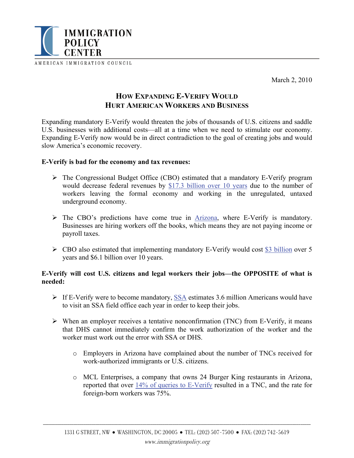

March 2, 2010

# **HOW EXPANDING E-VERIFY WOULD HURT AMERICAN WORKERS AND BUSINESS**

Expanding mandatory E-Verify would threaten the jobs of thousands of U.S. citizens and saddle U.S. businesses with additional costs—all at a time when we need to stimulate our economy. Expanding E-Verify now would be in direct contradiction to the goal of creating jobs and would slow America's economic recovery.

## **E-Verify is bad for the economy and tax revenues:**

- ¾ The Congressional Budget Office (CBO) estimated that a mandatory E-Verify program would decrease federal revenues by [\\$17.3 billion over 10 years](http://www.cbo.gov/ftpdocs/91xx/doc9100/hr4088ltr.pdf) due to the number of workers leaving the formal economy and working in the unregulated, untaxed underground economy.
- $\triangleright$  The CBO's predictions have come true in [Arizona,](http://www.migrationinformation.org/Feature/display.cfm?id=726) where E-Verify is mandatory. Businesses are hiring workers off the books, which means they are not paying income or payroll taxes.
- $\triangleright$  CBO also estimated that implementing mandatory E-Verify would cost [\\$3 billion](http://www.cbo.gov/ftpdocs/81xx/doc8179/SA1150_June4.pdf) over 5 years and \$6.1 billion over 10 years.

## **E-Verify will cost U.S. citizens and legal workers their jobs—the OPPOSITE of what is needed:**

- $\triangleright$  If E-Verify were to become mandatory, [SSA](http://waysandmeans.house.gov/hearings.asp?formmode=view&id=6095) estimates 3.6 million Americans would have to visit an SSA field office each year in order to keep their jobs.
- $\triangleright$  When an employer receives a tentative nonconfirmation (TNC) from E-Verify, it means that DHS cannot immediately confirm the work authorization of the worker and the worker must work out the error with SSA or DHS.
	- o Employers in Arizona have complained about the number of TNCs received for work-authorized immigrants or U.S. citizens.
	- o MCL Enterprises, a company that owns 24 Burger King restaurants in Arizona, reported that over [14% of queries to E-Verify](http://waysandmeans.house.gov/media/pdf/110/larid.pdf) resulted in a TNC, and the rate for foreign-born workers was 75%.

\_\_\_\_\_\_\_\_\_\_\_\_\_\_\_\_\_\_\_\_\_\_\_\_\_\_\_\_\_\_\_\_\_\_\_\_\_\_\_\_\_\_\_\_\_\_\_\_\_\_\_\_\_\_\_\_\_\_\_\_\_\_\_\_\_\_\_\_\_\_\_\_\_\_\_\_\_\_\_\_\_\_\_\_\_\_\_\_\_\_\_\_\_\_\_\_\_\_\_\_\_\_\_\_\_\_\_\_\_\_\_\_\_\_\_\_\_\_\_\_\_\_\_\_\_\_\_\_\_\_\_\_